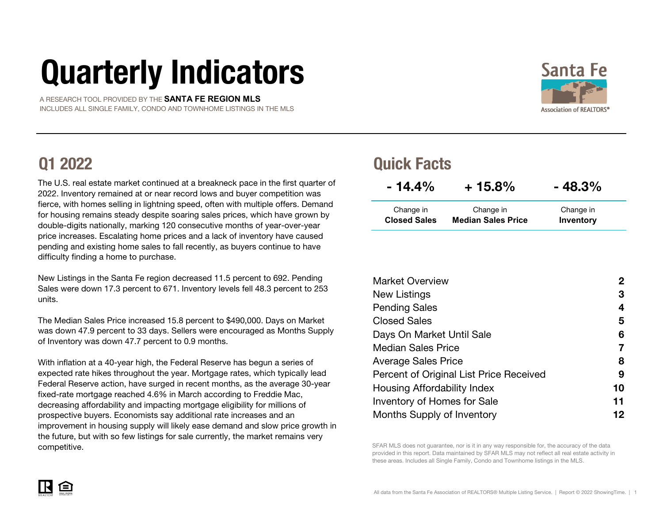# Quarterly Indicators

 A RESEARCH TOOL PROVIDED BY THE **SANTA FE REGION MLS** INCLUDES ALL SINGLE FAMILY, CONDO AND TOWNHOME LISTINGS IN THE MLS

The U.S. real estate market continued at a breakneck pace in the first quarter of 2022. Inventory remained at or near record lows and buyer competition was fierce, with homes selling in lightning speed, often with multiple offers. Demand for housing remains steady despite soaring sales prices, which have grown by double-digits nationally, marking 120 consecutive months of year-over-year price increases. Escalating home prices and a lack of inventory have caused pending and existing home sales to fall recently, as buyers continue to have difficulty finding a home to purchase.

New Listings in the Santa Fe region decreased 11.5 percent to 692. Pending Sales were down 17.3 percent to 671. Inventory levels fell 48.3 percent to 253 units.

The Median Sales Price increased 15.8 percent to \$490,000. Days on Market was down 47.9 percent to 33 days. Sellers were encouraged as Months Supply of Inventory was down 47.7 percent to 0.9 months.

With inflation at a 40-year high, the Federal Reserve has begun a series of expected rate hikes throughout the year. Mortgage rates, which typically lead Federal Reserve action, have surged in recent months, as the average 30-year fixed-rate mortgage reached 4.6% in March according to Freddie Mac, decreasing affordability and impacting mortgage eligibility for millions of prospective buyers. Economists say additional rate increases and an improvement in housing supply will likely ease demand and slow price growth in the future, but with so few listings for sale currently, the market remains very

### Q1 2022 Quick Facts

| $-14.4\%$           | $+15.8\%$                 | $-48.3%$  |  |  |
|---------------------|---------------------------|-----------|--|--|
| Change in           | Change in                 | Change in |  |  |
| <b>Closed Sales</b> | <b>Median Sales Price</b> | Inventory |  |  |

| <b>Market Overview</b>                  | $\mathbf 2$ |
|-----------------------------------------|-------------|
| New Listings                            | 3           |
| <b>Pending Sales</b>                    | 4           |
| <b>Closed Sales</b>                     | 5           |
| Days On Market Until Sale               | 6           |
| <b>Median Sales Price</b>               | 7           |
| <b>Average Sales Price</b>              | 8           |
| Percent of Original List Price Received | 9           |
| Housing Affordability Index             | 10          |
| Inventory of Homes for Sale             | 11          |
| Months Supply of Inventory              | 12          |



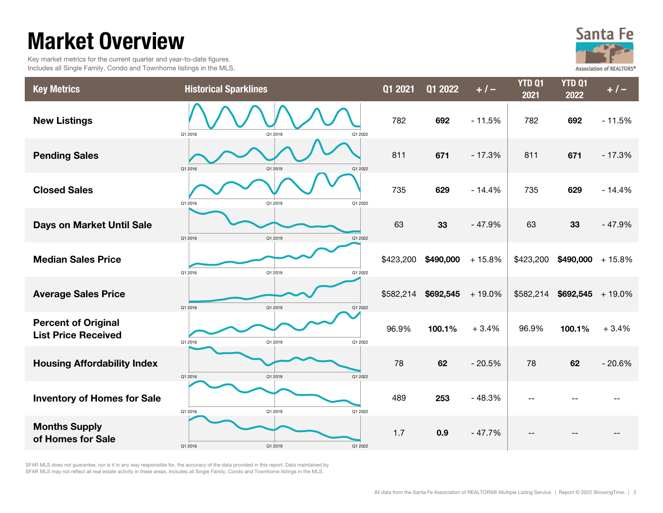### Market Overview

 Key market metrics for the current quarter and year-to-date figures. Includes all Single Family, Condo and Townhome listings in the MLS.



| <b>Key Metrics</b>                                       | <b>Historical Sparklines</b>  | Q1 2021   | <b>Q1 2022</b> | $+1-$    | <b>YTD Q1</b><br>2021 | <b>YTD Q1</b><br>2022 | $+/-$    |
|----------------------------------------------------------|-------------------------------|-----------|----------------|----------|-----------------------|-----------------------|----------|
| <b>New Listings</b>                                      | Q1 2016<br>Q1 2019<br>Q1 2022 | 782       | 692            | $-11.5%$ | 782                   | 692                   | $-11.5%$ |
| <b>Pending Sales</b>                                     | Q1 2016<br>Q1 2019<br>Q1 2022 | 811       | 671            | $-17.3%$ | 811                   | 671                   | $-17.3%$ |
| <b>Closed Sales</b>                                      | Q1 2019<br>Q1 2022<br>Q1 2016 | 735       | 629            | $-14.4%$ | 735                   | 629                   | $-14.4%$ |
| Days on Market Until Sale                                | Q1 2016<br>Q1 2019<br>Q1 2022 | 63        | 33             | $-47.9%$ | 63                    | 33                    | $-47.9%$ |
| <b>Median Sales Price</b>                                | Q1 2019<br>Q1 2016<br>Q1 2022 | \$423,200 | \$490,000      | $+15.8%$ | \$423,200             | \$490,000             | $+15.8%$ |
| <b>Average Sales Price</b>                               | Q1 2016<br>Q1 2019<br>Q1 2022 | \$582,214 | \$692,545      | $+19.0%$ | \$582,214             | $$692,545$ + 19.0%    |          |
| <b>Percent of Original</b><br><b>List Price Received</b> | Q1 2016<br>Q1 2019<br>Q1 2022 | 96.9%     | 100.1%         | $+3.4%$  | 96.9%                 | 100.1%                | $+3.4%$  |
| <b>Housing Affordability Index</b>                       | Q1 2022<br>Q1 2016<br>Q1 2019 | 78        | 62             | $-20.5%$ | 78                    | 62                    | $-20.6%$ |
| <b>Inventory of Homes for Sale</b>                       | Q1 2022<br>Q1 2016<br>Q1 2019 | 489       | 253            | $-48.3%$ |                       |                       |          |
| <b>Months Supply</b><br>of Homes for Sale                | Q1 2016<br>Q1 2019<br>Q1 2022 | 1.7       | 0.9            | $-47.7%$ |                       |                       |          |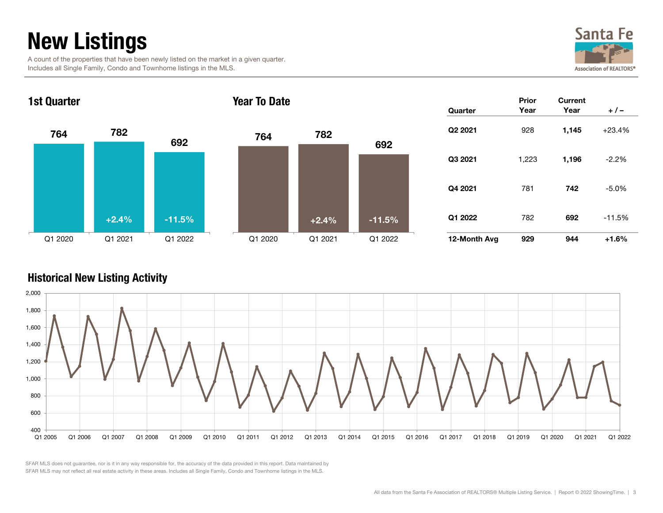### New Listings

 A count of the properties that have been newly listed on the market in a given quarter. Includes all Single Family, Condo and Townhome listings in the MLS.





#### Historical New Listing Activity

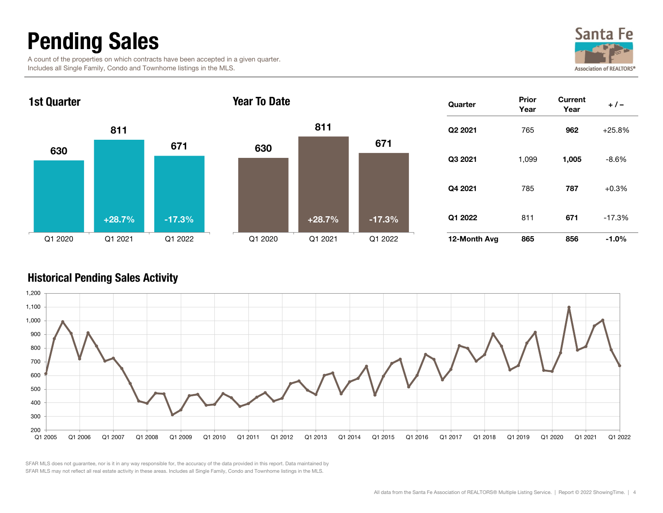### Pending Sales

 A count of the properties on which contracts have been accepted in a given quarter. Includes all Single Family, Condo and Townhome listings in the MLS.





#### Historical Pending Sales Activity

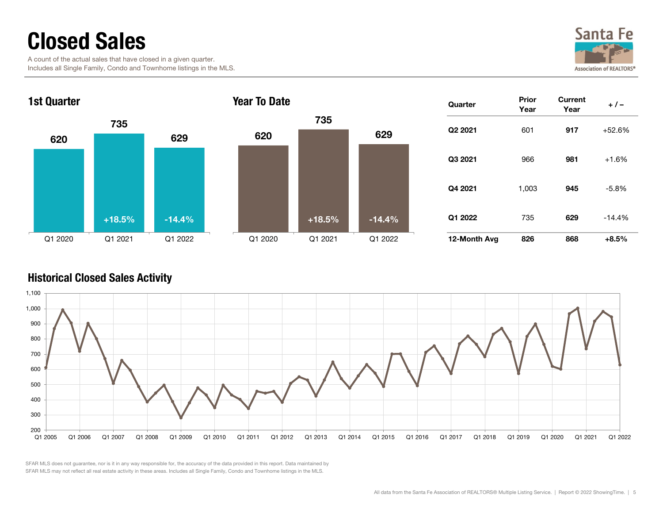### Closed Sales

 A count of the actual sales that have closed in a given quarter. Includes all Single Family, Condo and Townhome listings in the MLS.





#### Historical Closed Sales Activity

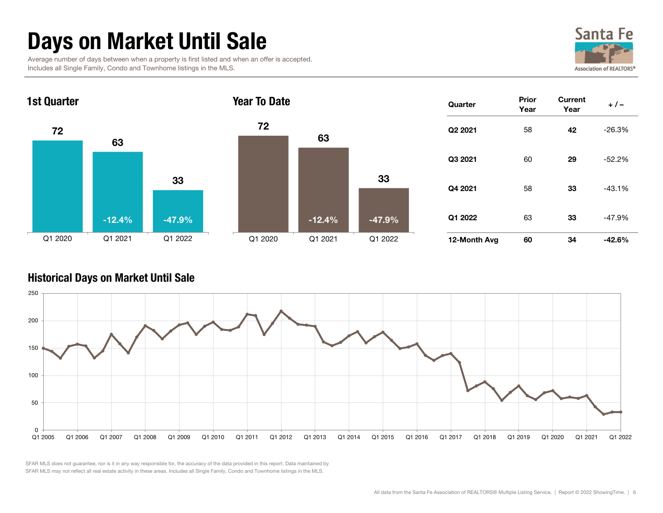### Days on Market Until Sale

 Average number of days between when a property is first listed and when an offer is accepted. Includes all Single Family, Condo and Townhome listings in the MLS.





#### Historical Days on Market Until Sale

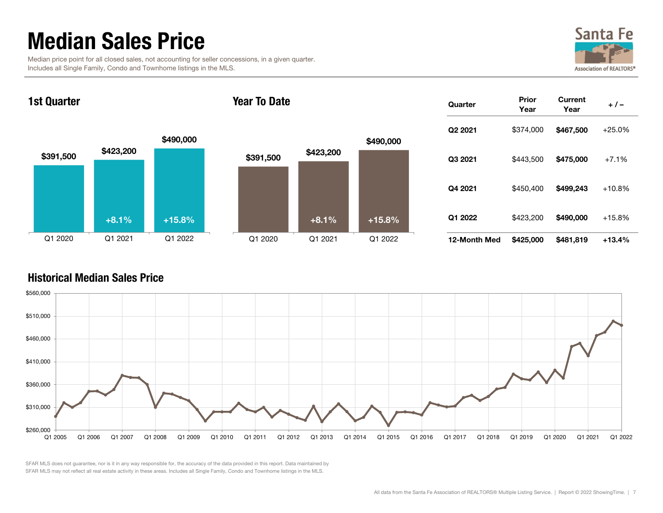### Median Sales Price

 Median price point for all closed sales, not accounting for seller concessions, in a given quarter. Includes all Single Family, Condo and Townhome listings in the MLS.



**Quarter** Prior<br>Year Current  $+/-$ 12-Month Med \$425,000 \$481,819 +13.4% Q3 2021 \$443,500 \$475,000 +7.1% Q4 2021 \$450,400 \$499,243 +10.8% Q2 2021 \$374,000 \$467,500 +25.0% Q1 2022 \$423,200 \$490,000 +15.8% \$391,500 \$423,200 \$490,000 Q1 2020 Q1 2021 Q1 20221st Quarter \$391,500 \$423,200 \$490,000 Q1 2020 Q1 2021 Q1 2022Year To Date $+8.1\%$  +15.8% +  $+8.1\%$ +15.8%

#### Historical Median Sales Price

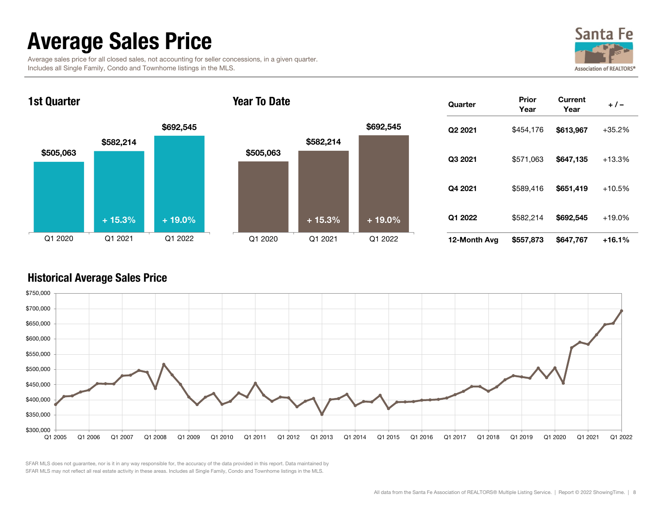### Average Sales Price

| Average sales price for all closed sales, not accounting for seller concessions, in a given quarter. |  |  |  |
|------------------------------------------------------------------------------------------------------|--|--|--|
| Includes all Single Family, Condo and Townhome listings in the MLS.                                  |  |  |  |



**Quarter** Prior<br>Year Current  $+/-$ 12-Month Avg \$557,873 \$647,767 +16.1% Q3 2021 \$571,063 \$647,135 +13.3% Q4 2021 \$589,416 \$651,419 +10.5% Q2 2021 \$454,176 \$613,967 +35.2% Q1 2022 \$582,214 \$692,545 +19.0% \$505,063 \$582,214 \$692,545 Q1 2020 Q1 2021 Q1 20221st Quarter \$505,063 \$582,214 \$692,545 Q1 2020 Q1 2021 Q1 2022Year To Date $+ 15.3\% + 19.0\%$  $+15.3\%$   $+19.0\%$ 

#### Historical Average Sales Price

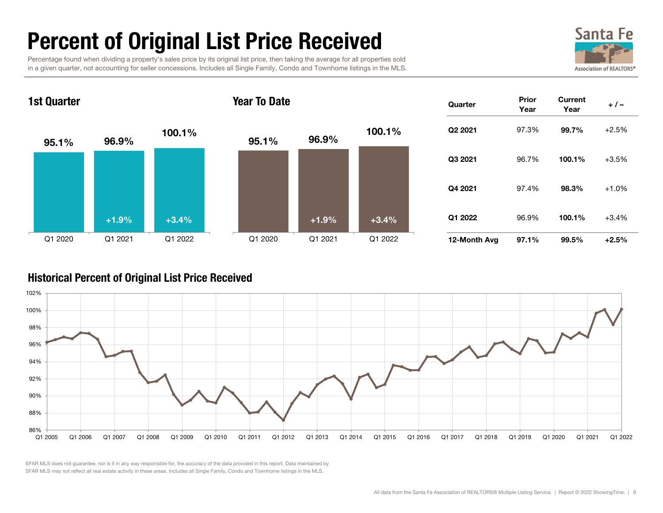### Percent of Original List Price Received

 Percentage found when dividing a property's sales price by its original list price, then taking the average for all properties sold in a given quarter, not accounting for seller concessions. Includes all Single Family, Condo and Townhome listings in the MLS.





#### Historical Percent of Original List Price Received

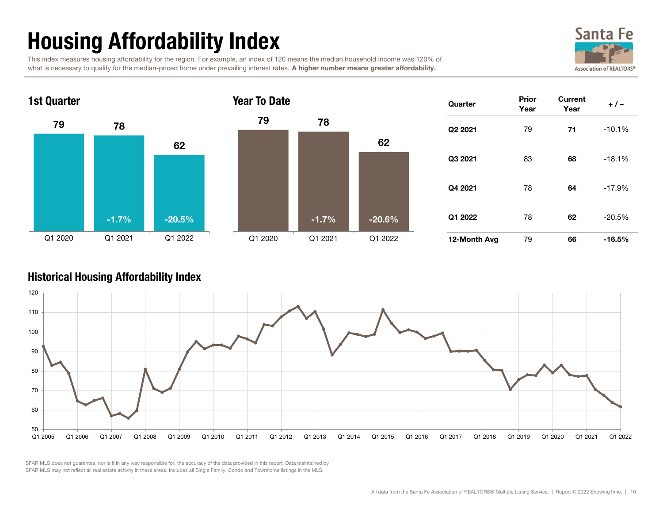## Housing Affordability Index

 This index measures housing affordability for the region. For example, an index of 120 means the median household income was 120% of what is necessary to qualify for the median-priced home under prevailing interest rates. A higher number means greater affordability.







| Quarter             | Prior<br>Year | Current<br>Year | $+/-$    |
|---------------------|---------------|-----------------|----------|
| Q <sub>2</sub> 2021 | 79            | 71              | $-10.1%$ |
| Q3 2021             | 83            | 68              | $-18.1%$ |
| Q4 2021             | 78            | 64              | $-17.9%$ |
| Q1 2022             | 78            | 62              | $-20.5%$ |
| 12-Month Avg        | 79            | 66              | $-16.5%$ |

#### Historical Housing Affordability Index

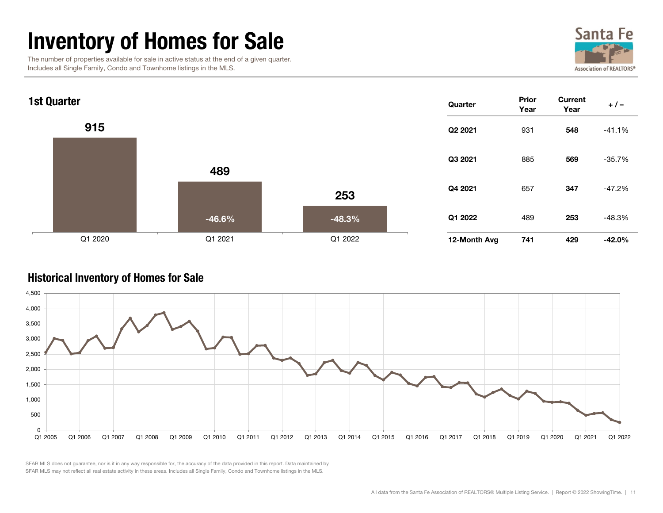### Inventory of Homes for Sale

 The number of properties available for sale in active status at the end of a given quarter. Includes all Single Family, Condo and Townhome listings in the MLS.





#### Historical Inventory of Homes for Sale